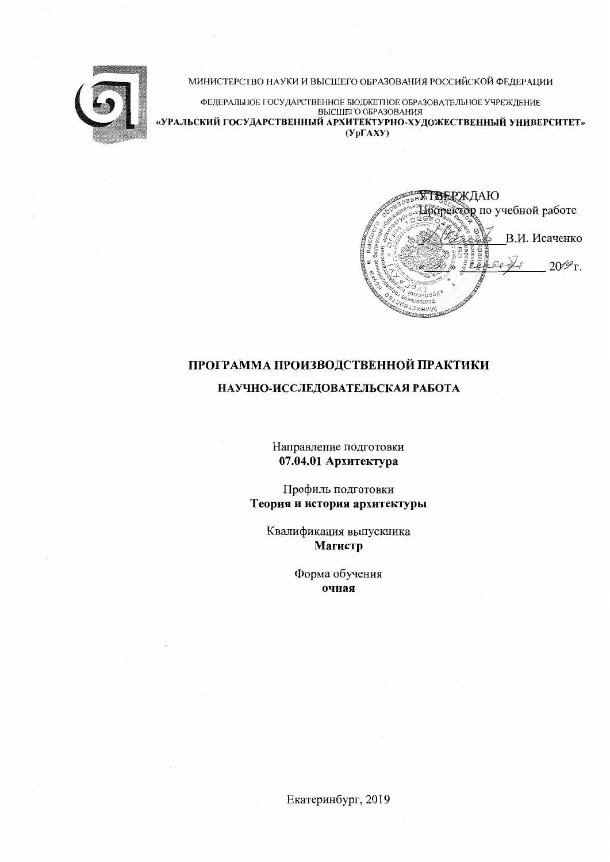

#### МИНИСТЕРСТВО НАУКИ И ВЫСШЕГО ОБРАЗОВАНИЯ РОССИЙСКОЙ ФЕДЕРАЦИИ

ФЕДЕРАЛЬНОЕ ГОСУДАРСТВЕННОЕ БЮДЖЕТНОЕ ОБРАЗОВАТЕЛЬНОЕ УЧРЕЖДЕНИЕ BLICHLETO OFPA3OBAHUS «УРАЛЬСКИЙ ГОСУДАРСТВЕННЫЙ АРХИТЕКТУРНО-ХУДОЖЕСТВЕННЫЙ УНИВЕРСИТЕТ»  $(Y<sub>D</sub>FAXY)$ 

ТВЕРЖДАЮ Проректор по учебной работе В.И. Исаченко  $20\mathscr{P}$ r. INHNCT<sub>E</sub>

# ПРОГРАММА ПРОИЗВОДСТВЕННОЙ ПРАКТИКИ

## НАУЧНО-ИССЛЕДОВАТЕЛЬСКАЯ РАБОТА

Направление подготовки 07.04.01 Архитектура

Профиль подготовки Теория и история архитектуры

Квалификация выпускника Магистр

> Форма обучения очная

Екатеринбург, 2019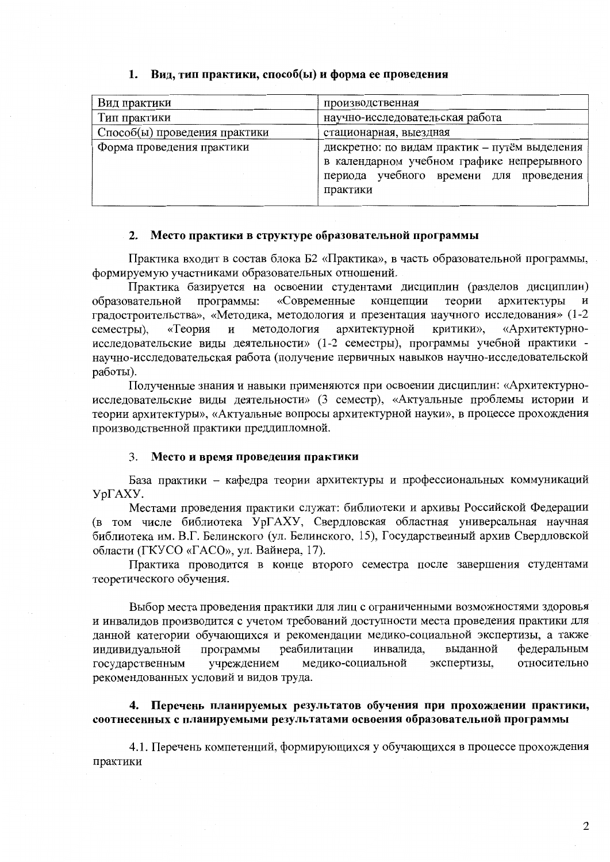| Вид практики                  | производственная                                                                                                                                   |  |  |  |
|-------------------------------|----------------------------------------------------------------------------------------------------------------------------------------------------|--|--|--|
| Тип практики                  | научно-исследовательская работа                                                                                                                    |  |  |  |
| Способ(ы) проведения практики | стационарная, выездная                                                                                                                             |  |  |  |
| Форма проведения практики     | дискретно: по видам практик - путём выделения<br>в календарном учебном графике непрерывного<br>периода учебного времени для проведения<br>практики |  |  |  |

## 1. Вид, тип практики, способ(ы) и форма ее проведения

## 2. Место практики в структуре образовательной программы

Практика входит в состав блока Б2 «Практика», в часть образовательной программы, формируемую участниками образовательных отношений.

Практика базируется на освоении студентами дисциплин (разделов дисциплин) «Современные концепции теории архитектуры образовательной программы: И градостроительства», «Методика, методология и презентация научного исследования» (1-2 архитектурной критики». «Архитектурно-«Теория  $\overline{M}$ методология семестры), исследовательские виды деятельности» (1-2 семестры), программы учебной практики научно-исследовательская работа (получение первичных навыков научно-исследовательской работы).

Полученные знания и навыки применяются при освоении дисциплин: «Архитектурноисследовательские виды деятельности» (3 семестр), «Актуальные проблемы истории и теории архитектуры», «Актуальные вопросы архитектурной науки», в процессе прохождения производственной практики преддипломной.

#### Место и время проведения практики 3.

База практики - кафедра теории архитектуры и профессиональных коммуникаций УрГАХУ.

Местами проведения практики служат: библиотеки и архивы Российской Федерации (в том числе библиотека УрГАХУ, Свердловская областная универсальная научная библиотека им. В.Г. Белинского (ул. Белинского, 15), Государственный архив Свердловской области (ГКУСО «ГАСО», ул. Вайнера, 17).

Практика проводится в конце второго семестра после завершения студентами теоретического обучения.

Выбор места проведения практики для лиц с ограниченными возможностями здоровья и инвалидов производится с учетом требований доступности места проведения практики для данной категории обучающихся и рекомендации медико-социальной экспертизы, а также программы реабилитации выданной федеральным инвалида, индивидуальной медико-социальной экспертизы, относительно государственным учреждением рекомендованных условий и видов труда.

## 4. Перечень планируемых результатов обучения при прохождении практики, соотнесенных с планируемыми результатами освоения образовательной программы

4.1. Перечень компетенций, формирующихся у обучающихся в процессе прохождения практики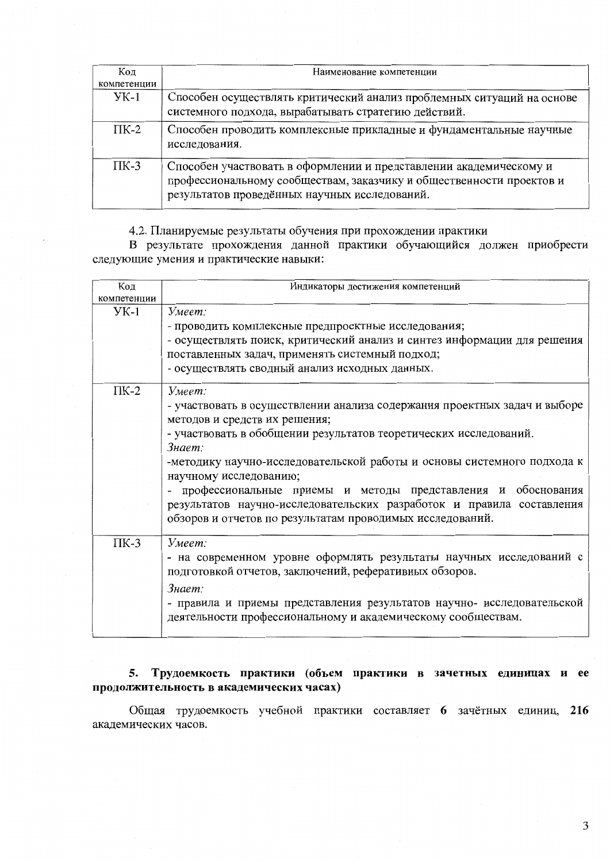| Код         | Наименование компетенции                                                                                                                                                                    |  |  |
|-------------|---------------------------------------------------------------------------------------------------------------------------------------------------------------------------------------------|--|--|
| компетенции |                                                                                                                                                                                             |  |  |
| УK-1        | Способен осуществлять критический анализ проблемных ситуаций на основе<br>системного подхода, вырабатывать стратегию действий.                                                              |  |  |
| $\Pi K-2$   | Способен проводить комплексные прикладные и фундаментальные научные<br>исследования.                                                                                                        |  |  |
| $\Pi K-3$   | Способен участвовать в оформлении и представлении академическому и<br>профессиональному сообществам, заказчику и общественности проектов и<br>результатов проведённых научных исследований. |  |  |

4.2. Планируемые результаты обучения при прохождении практики

В результате прохождения данной практики обучающийся должен приобрести следующие умения и практические навыки:

| Код         | Индикаторы достижения компетенций                                         |  |  |  |  |
|-------------|---------------------------------------------------------------------------|--|--|--|--|
| компетенции |                                                                           |  |  |  |  |
| $YK-1$      | Умеет:                                                                    |  |  |  |  |
|             | - проводить комплексные предпроектные исследования;                       |  |  |  |  |
|             | - осуществлять поиск, критический анализ и синтез информации для решения  |  |  |  |  |
|             | поставленных задач, применять системный подход;                           |  |  |  |  |
|             | - осуществлять сводный анализ исходных данных.                            |  |  |  |  |
| $\Pi K-2$   | Умеет:                                                                    |  |  |  |  |
|             | - участвовать в осуществлении анализа содержания проектных задач и выборе |  |  |  |  |
|             | методов и средств их решения;                                             |  |  |  |  |
|             | - участвовать в обобщении результатов теоретических исследований.         |  |  |  |  |
|             | Знает:                                                                    |  |  |  |  |
|             | -методику научно-исследовательской работы и основы системного подхода к   |  |  |  |  |
|             | научному исследованию;                                                    |  |  |  |  |
|             | - профессиональные приемы и методы представления и обоснования            |  |  |  |  |
|             | результатов научно-исследовательских разработок и правила составления     |  |  |  |  |
|             | обзоров и отчетов по результатам проводимых исследований.                 |  |  |  |  |
| $\Pi K-3$   | Умеет:                                                                    |  |  |  |  |
|             | - на современном уровне оформлять результаты научных исследований с       |  |  |  |  |
|             | подготовкой отчетов, заключений, реферативных обзоров.                    |  |  |  |  |
|             | Знает:                                                                    |  |  |  |  |
|             | - правила и приемы представления результатов научно- исследовательской    |  |  |  |  |
|             | деятельности профессиональному и академическому сообществам.              |  |  |  |  |
|             |                                                                           |  |  |  |  |

## 5. Трудоемкость практики (объем практики в зачетных единицах и ее продолжительность в академических часах)

Общая трудоемкость учебной практики составляет 6 зачётных единиц, 216 академических часов.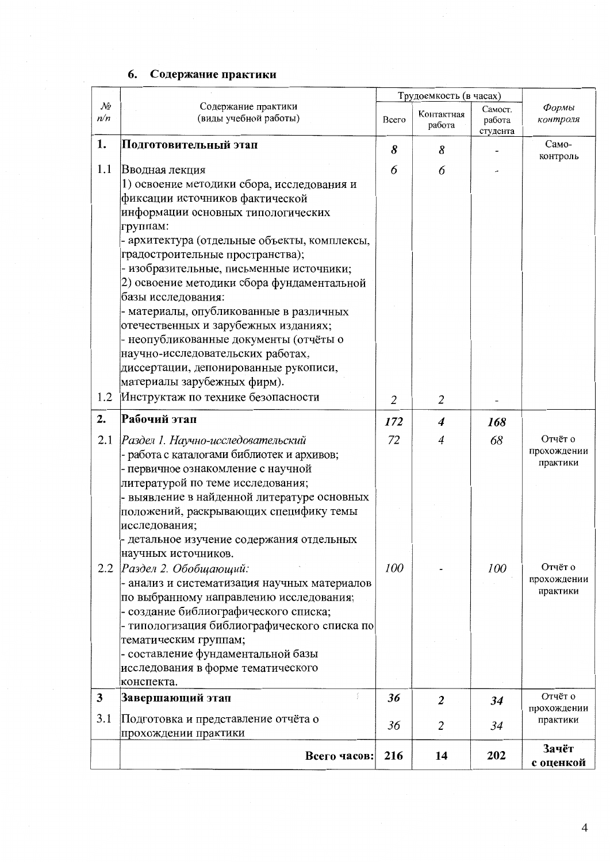# 6. Содержание практики

|                               |                                                                                                                                                                                                                                                                                                                                                                                                                                                                                                                                                                                               | Трудоемкость (в часах) |                      |                               |                                    |
|-------------------------------|-----------------------------------------------------------------------------------------------------------------------------------------------------------------------------------------------------------------------------------------------------------------------------------------------------------------------------------------------------------------------------------------------------------------------------------------------------------------------------------------------------------------------------------------------------------------------------------------------|------------------------|----------------------|-------------------------------|------------------------------------|
| $\mathcal{N}\!\varrho$<br>n/n | Содержание практики<br>(виды учебной работы)                                                                                                                                                                                                                                                                                                                                                                                                                                                                                                                                                  | Всего                  | Контактная<br>работа | Самост.<br>работа<br>студента | Формы<br>контроля                  |
| 1.                            | Подготовительный этап                                                                                                                                                                                                                                                                                                                                                                                                                                                                                                                                                                         | 8                      | 8                    |                               | Само-                              |
| 1.1                           | Вводная лекция<br>1) освоение методики сбора, исследования и<br>фиксации источников фактической<br>информации основных типологических<br>группам:<br>- архитектура (отдельные объекты, комплексы,<br>градостроительные пространства);<br>- изобразительные, письменные источники;<br>2) освоение методики сбора фундаментальной<br>базы исследования:<br>- материалы, опубликованные в различных<br>отечественных и зарубежных изданиях;<br>неопубликованные документы (отчёты о<br>научно-исследовательских работах,<br>диссертации, депонированные рукописи,<br>материалы зарубежных фирм). | 6                      | 6                    |                               | контроль                           |
| 1.2                           | Инструктаж по технике безопасности                                                                                                                                                                                                                                                                                                                                                                                                                                                                                                                                                            | $\overline{2}$         | 2                    |                               |                                    |
| 2.                            | Рабочий этап                                                                                                                                                                                                                                                                                                                                                                                                                                                                                                                                                                                  | 172                    | 4                    | 168                           |                                    |
| 2.1                           | Раздел 1. Научно-исследовательский<br>работа с каталогами библиотек и архивов;<br>первичное ознакомление с научной<br>литературой по теме исследования;<br>- выявление в найденной литературе основных<br>положений, раскрывающих специфику темы<br>исследования;<br>- детальное изучение содержания отдельных<br>научных источников.                                                                                                                                                                                                                                                         | 72                     | 4                    | 68                            | Отчёт о<br>прохождении<br>практики |
| 2.2                           | Раздел 2. Обобщающий:<br>- анализ и систематизация научных материалов<br>по выбранному направлению исследования;<br>- создание библиографического списка;<br>- типологизация библиографического списка по<br>тематическим группам;<br>- составление фундаментальной базы<br>исследования в форме тематического<br>конспекта.                                                                                                                                                                                                                                                                  | 100                    |                      | 100                           | Отчёт о<br>прохождении<br>практики |
| 3                             | Завершающий этап                                                                                                                                                                                                                                                                                                                                                                                                                                                                                                                                                                              | 36                     | $\boldsymbol{2}$     | 34                            | Отчёт о<br>прохождении             |
| 3.1                           | Подготовка и представление отчёта о<br>прохождении практики                                                                                                                                                                                                                                                                                                                                                                                                                                                                                                                                   | 36                     | $\overline{2}$       | 34                            | практики                           |
|                               | Всего часов:                                                                                                                                                                                                                                                                                                                                                                                                                                                                                                                                                                                  | 216                    | 14                   | 202                           | Зачёт<br>с оценкой                 |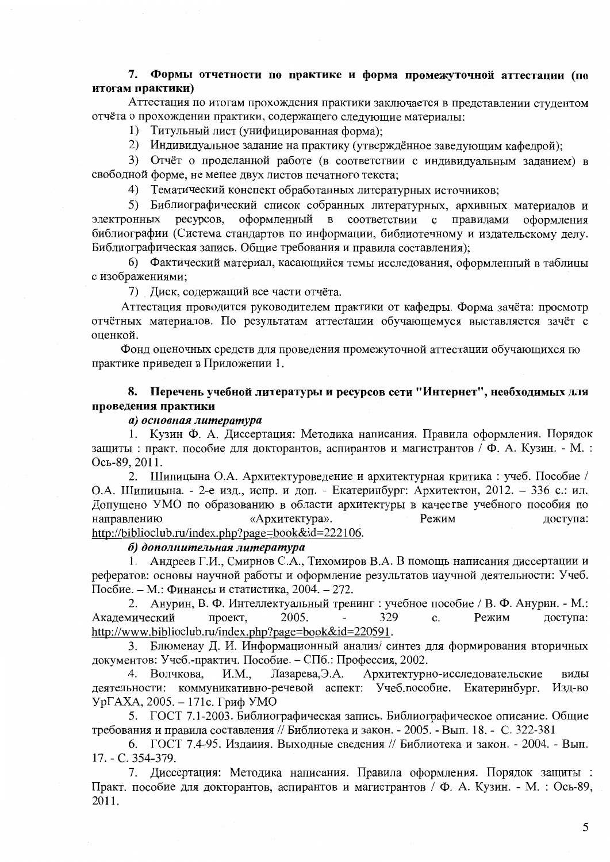## 7. Формы отчетности по практике и форма промежуточной аттестации (по итогам практики)

Аттестация по итогам прохождения практики заключается в представлении студентом отчёта о прохождении практики, содержащего следующие материалы:

1) Титульный лист (унифицированная форма);

2) Индивидуальное задание на практику (утверждённое заведующим кафелрой);

3) Отчёт о проделанной работе (в соответствии с индивидуальным заланием) в свободной форме, не менее двух листов печатного текста;

4) Тематический конспект обработанных литературных источников:

5) Библиографический список собранных литературных, архивных материалов и электронных ресурсов, оформленный в соответствии с правилами оформления библиографии (Система стандартов по информации, библиотечному и издательскому делу. Библиографическая запись. Общие требования и правила составления):

6) Фактический материал, касающийся темы исследования, оформленный в таблицы с изображениями;

7) Диск, содержащий все части отчёта.

Аттестация проводится руководителем практики от кафедры. Форма зачёта: просмотр отчётных материалов. По результатам аттестации обучающемуся выставляется зачёт с оценкой.

Фонд оценочных средств для проведения промежуточной аттестации обучающихся по практике приведен в Приложении 1.

## 8. Перечень учебной литературы и ресурсов сети "Интернет", необходимых для проведения практики

## а) основная литература

1. Кузин Ф. А. Диссертация: Методика написания. Правила оформления. Порядок защиты: практ. пособие для докторантов, аспирантов и магистрантов / Ф. А. Кузин. - М.: Ось-89, 2011.

2. Шипицына О.А. Архитектуроведение и архитектурная критика: учеб. Пособие / О.А. Шипицына. - 2-е изд., испр. и доп. - Екатеринбург: Архитектон, 2012. - 336 с.: ил. Допущено УМО по образованию в области архитектуры в качестве учебного пособия по направлению «Архитектура». Режим доступа: http://biblioclub.ru/index.php?page=book&id=222106.

## б) дополнительная литература

1. Андреев Г.И., Смирнов С.А., Тихомиров В.А. В помощь написания диссертации и рефератов: основы научной работы и оформление результатов научной деятельности: Учеб. Посбие. - М.: Финансы и статистика, 2004. - 272.

2. Анурин, В. Ф. Интеллектуальный тренинг : учебное пособие / В. Ф. Анурин. - М.: 2005. 329 Академический проект,  $\mathbf{c}$ . Режим доступа: http://www.biblioclub.ru/index.php?page=book&id=220591.

3. Блюменау Д. И. Информационный анализ/ синтез для формирования вторичных документов: Учеб.-практич. Пособие. - СПб.: Профессия, 2002.

4. Волчкова, **H.M.** Лазарева, Э.А. Архитектурно-исследовательские виды деятельности: коммуникативно-речевой аспект: Учеб.пособие. Екатеринбург. Изд-во УрГАХА, 2005. – 171с. Гриф УМО

5. ГОСТ 7.1-2003. Библиографическая запись. Библиографическое описание. Общие требования и правила составления // Библиотека и закон. - 2005. - Вып. 18. - С. 322-381

6. ГОСТ 7.4-95. Издания. Выходные сведения // Библиотека и закон. - 2004. - Вып. 17. - C. 354-379.

7. Диссертация: Методика написания. Правила оформления. Порядок защиты : Практ. пособие для докторантов, аспирантов и магистрантов / Ф. А. Кузин. - М. : Ось-89, 2011.